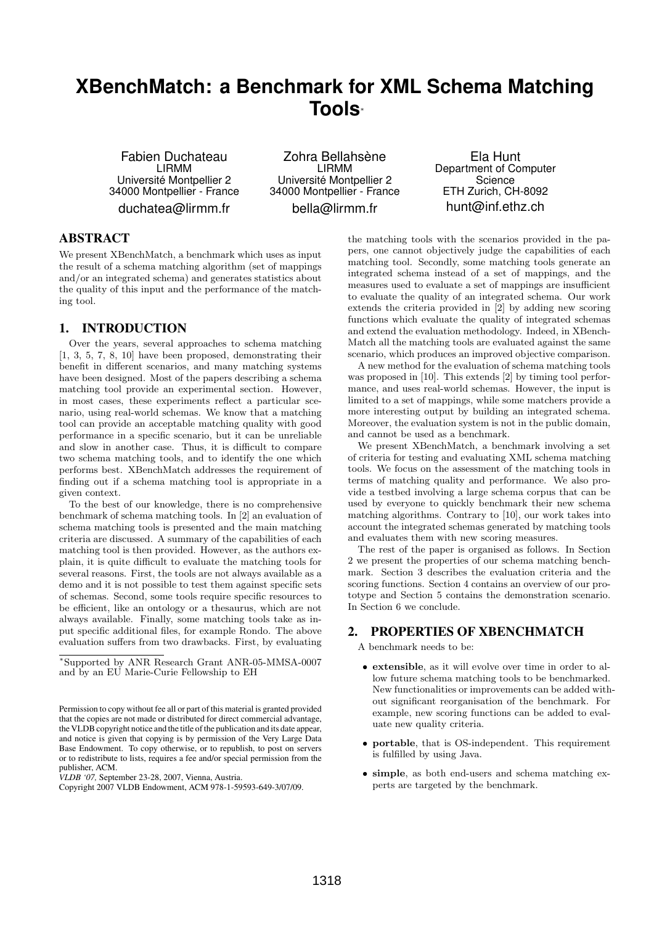# **XBenchMatch: a Benchmark for XML Schema Matching Tools**<sup>∗</sup>

Fabien Duchateau LIRMM Universite Montpellier 2 ´ 34000 Montpellier - France duchatea@lirmm.fr

Zohra Bellahsène LIRMM Universite Montpellier 2 ´ 34000 Montpellier - France bella@lirmm.fr

Ela Hunt Department of Computer **Science** ETH Zurich, CH-8092 hunt@inf.ethz.ch

## **ABSTRACT**

We present XBenchMatch, a benchmark which uses as input the result of a schema matching algorithm (set of mappings and/or an integrated schema) and generates statistics about the quality of this input and the performance of the matching tool.

#### 1. INTRODUCTION

Over the years, several approaches to schema matching [1, 3, 5, 7, 8, 10] have been proposed, demonstrating their benefit in different scenarios, and many matching systems have been designed. Most of the papers describing a schema matching tool provide an experimental section. However, in most cases, these experiments reflect a particular scenario, using real-world schemas. We know that a matching tool can provide an acceptable matching quality with good performance in a specific scenario, but it can be unreliable and slow in another case. Thus, it is difficult to compare two schema matching tools, and to identify the one which performs best. XBenchMatch addresses the requirement of finding out if a schema matching tool is appropriate in a given context.

To the best of our knowledge, there is no comprehensive benchmark of schema matching tools. In [2] an evaluation of schema matching tools is presented and the main matching criteria are discussed. A summary of the capabilities of each matching tool is then provided. However, as the authors explain, it is quite difficult to evaluate the matching tools for several reasons. First, the tools are not always available as a demo and it is not possible to test them against specific sets of schemas. Second, some tools require specific resources to be efficient, like an ontology or a thesaurus, which are not always available. Finally, some matching tools take as input specific additional files, for example Rondo. The above evaluation suffers from two drawbacks. First, by evaluating

*VLDB '07,* September 23-28, 2007, Vienna, Austria.

the matching tools with the scenarios provided in the papers, one cannot objectively judge the capabilities of each matching tool. Secondly, some matching tools generate an integrated schema instead of a set of mappings, and the measures used to evaluate a set of mappings are insufficient to evaluate the quality of an integrated schema. Our work extends the criteria provided in [2] by adding new scoring functions which evaluate the quality of integrated schemas and extend the evaluation methodology. Indeed, in XBench-Match all the matching tools are evaluated against the same scenario, which produces an improved objective comparison.

A new method for the evaluation of schema matching tools was proposed in [10]. This extends [2] by timing tool performance, and uses real-world schemas. However, the input is limited to a set of mappings, while some matchers provide a more interesting output by building an integrated schema. Moreover, the evaluation system is not in the public domain, and cannot be used as a benchmark.

We present XBenchMatch, a benchmark involving a set of criteria for testing and evaluating XML schema matching tools. We focus on the assessment of the matching tools in terms of matching quality and performance. We also provide a testbed involving a large schema corpus that can be used by everyone to quickly benchmark their new schema matching algorithms. Contrary to [10], our work takes into account the integrated schemas generated by matching tools and evaluates them with new scoring measures.

The rest of the paper is organised as follows. In Section 2 we present the properties of our schema matching benchmark. Section 3 describes the evaluation criteria and the scoring functions. Section 4 contains an overview of our prototype and Section 5 contains the demonstration scenario. In Section 6 we conclude.

### 2. PROPERTIES OF XBENCHMATCH

A benchmark needs to be:

- extensible, as it will evolve over time in order to allow future schema matching tools to be benchmarked. New functionalities or improvements can be added without significant reorganisation of the benchmark. For example, new scoring functions can be added to evaluate new quality criteria.
- portable, that is OS-independent. This requirement is fulfilled by using Java.
- simple, as both end-users and schema matching experts are targeted by the benchmark.

<sup>∗</sup>Supported by ANR Research Grant ANR-05-MMSA-0007 and by an EU Marie-Curie Fellowship to EH

Permission to copy without fee all or part of this material is granted provided that the copies are not made or distributed for direct commercial advantage, the VLDB copyright notice and the title of the publication and its date appear, and notice is given that copying is by permission of the Very Large Data Base Endowment. To copy otherwise, or to republish, to post on servers or to redistribute to lists, requires a fee and/or special permission from the publisher, ACM.

Copyright 2007 VLDB Endowment, ACM 978-1-59593-649-3/07/09.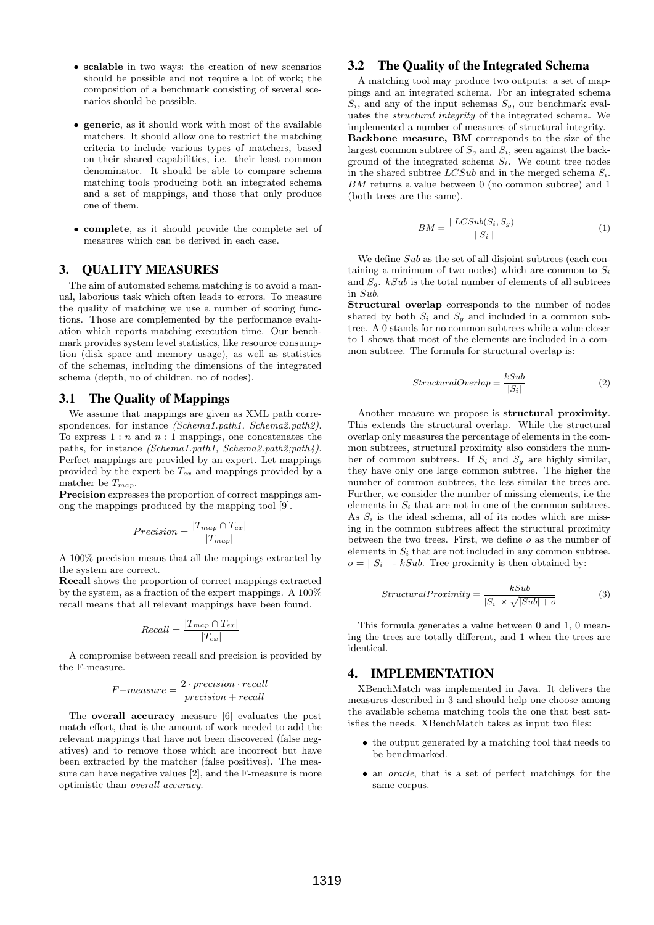- scalable in two ways: the creation of new scenarios should be possible and not require a lot of work; the composition of a benchmark consisting of several scenarios should be possible.
- generic, as it should work with most of the available matchers. It should allow one to restrict the matching criteria to include various types of matchers, based on their shared capabilities, i.e. their least common denominator. It should be able to compare schema matching tools producing both an integrated schema and a set of mappings, and those that only produce one of them.
- complete, as it should provide the complete set of measures which can be derived in each case.

## 3. QUALITY MEASURES

The aim of automated schema matching is to avoid a manual, laborious task which often leads to errors. To measure the quality of matching we use a number of scoring functions. Those are complemented by the performance evaluation which reports matching execution time. Our benchmark provides system level statistics, like resource consumption (disk space and memory usage), as well as statistics of the schemas, including the dimensions of the integrated schema (depth, no of children, no of nodes).

#### 3.1 The Quality of Mappings

We assume that mappings are given as XML path correspondences, for instance (Schema1.path1, Schema2.path2). To express  $1:n$  and  $n:1$  mappings, one concatenates the paths, for instance (Schema1.path1, Schema2.path2;path4). Perfect mappings are provided by an expert. Let mappings provided by the expert be  $T_{ex}$  and mappings provided by a matcher be  $T_{map}$ .

Precision expresses the proportion of correct mappings among the mappings produced by the mapping tool [9].

$$
Precision = \frac{|T_{map} \cap T_{ex}|}{|T_{map}|}
$$

A 100% precision means that all the mappings extracted by the system are correct.

Recall shows the proportion of correct mappings extracted by the system, as a fraction of the expert mappings. A 100% recall means that all relevant mappings have been found.

$$
Recall = \frac{|T_{map} \cap T_{ex}|}{|T_{ex}|}
$$

A compromise between recall and precision is provided by the F-measure.

$$
F-measure = \frac{2 \cdot precision \cdot recall}{precision + recall}
$$

The overall accuracy measure [6] evaluates the post match effort, that is the amount of work needed to add the relevant mappings that have not been discovered (false negatives) and to remove those which are incorrect but have been extracted by the matcher (false positives). The measure can have negative values [2], and the F-measure is more optimistic than overall accuracy.

#### 3.2 The Quality of the Integrated Schema

A matching tool may produce two outputs: a set of mappings and an integrated schema. For an integrated schema  $S_i$ , and any of the input schemas  $S_g$ , our benchmark evaluates the structural integrity of the integrated schema. We implemented a number of measures of structural integrity. Backbone measure, BM corresponds to the size of the largest common subtree of  $S_g$  and  $S_i$ , seen against the background of the integrated schema  $S_i$ . We count tree nodes in the shared subtree  $LCSub$  and in the merged schema  $S_i$ . BM returns a value between 0 (no common subtree) and 1 (both trees are the same).

$$
BM = \frac{|LCSub(S_i, S_g)|}{|S_i|} \tag{1}
$$

We define Sub as the set of all disjoint subtrees (each containing a minimum of two nodes) which are common to  $S_i$ and  $S_g$ .  $kSub$  is the total number of elements of all subtrees in Sub.

Structural overlap corresponds to the number of nodes shared by both  $S_i$  and  $S_g$  and included in a common subtree. A 0 stands for no common subtrees while a value closer to 1 shows that most of the elements are included in a common subtree. The formula for structural overlap is:

$$
Structural Overlap = \frac{kSub}{|S_i|}
$$
 (2)

Another measure we propose is structural proximity. This extends the structural overlap. While the structural overlap only measures the percentage of elements in the common subtrees, structural proximity also considers the number of common subtrees. If  $S_i$  and  $S_q$  are highly similar, they have only one large common subtree. The higher the number of common subtrees, the less similar the trees are. Further, we consider the number of missing elements, i.e the elements in  $S_i$  that are not in one of the common subtrees. As  $S_i$  is the ideal schema, all of its nodes which are missing in the common subtrees affect the structural proximity between the two trees. First, we define  $\rho$  as the number of elements in  $S_i$  that are not included in any common subtree.  $o = |S_i|$  - kSub. Tree proximity is then obtained by:

$$
Structural Proximity = \frac{kSub}{|S_i| \times \sqrt{|Sub| + o}}
$$
 (3)

This formula generates a value between 0 and 1, 0 meaning the trees are totally different, and 1 when the trees are identical.

#### 4. IMPLEMENTATION

XBenchMatch was implemented in Java. It delivers the measures described in 3 and should help one choose among the available schema matching tools the one that best satisfies the needs. XBenchMatch takes as input two files:

- the output generated by a matching tool that needs to be benchmarked.
- an *oracle*, that is a set of perfect matchings for the same corpus.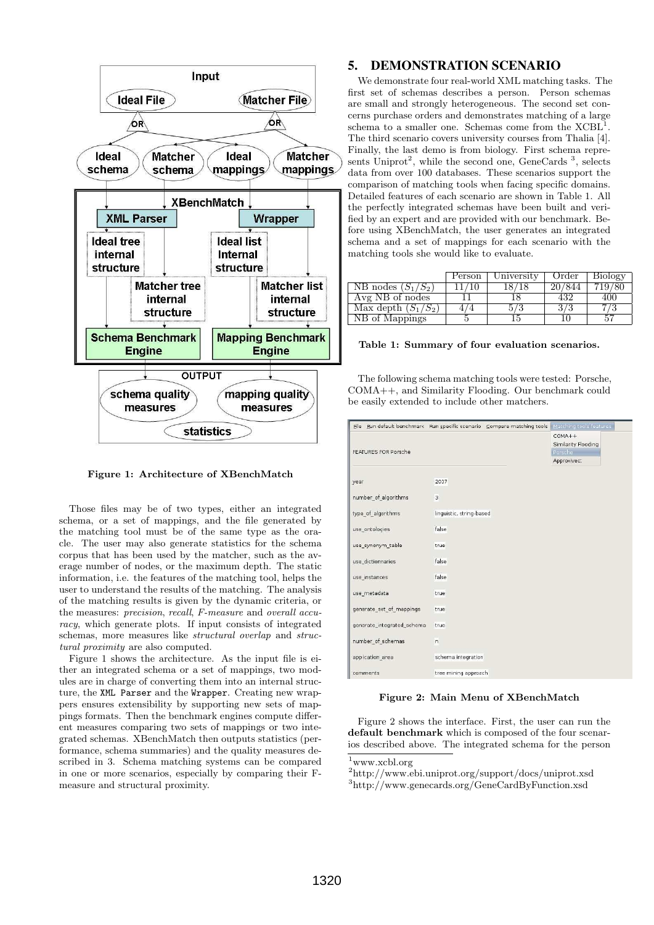

Figure 1: Architecture of XBenchMatch

Those files may be of two types, either an integrated schema, or a set of mappings, and the file generated by the matching tool must be of the same type as the oracle. The user may also generate statistics for the schema corpus that has been used by the matcher, such as the average number of nodes, or the maximum depth. The static information, i.e. the features of the matching tool, helps the user to understand the results of the matching. The analysis of the matching results is given by the dynamic criteria, or the measures: precision, recall, F-measure and overall accuracy, which generate plots. If input consists of integrated schemas, more measures like structural overlap and structural proximity are also computed.

Figure 1 shows the architecture. As the input file is either an integrated schema or a set of mappings, two modules are in charge of converting them into an internal structure, the XML Parser and the Wrapper. Creating new wrappers ensures extensibility by supporting new sets of mappings formats. Then the benchmark engines compute different measures comparing two sets of mappings or two integrated schemas. XBenchMatch then outputs statistics (performance, schema summaries) and the quality measures described in 3. Schema matching systems can be compared in one or more scenarios, especially by comparing their Fmeasure and structural proximity.

## 5. DEMONSTRATION SCENARIO

We demonstrate four real-world XML matching tasks. The first set of schemas describes a person. Person schemas are small and strongly heterogeneous. The second set concerns purchase orders and demonstrates matching of a large schema to a smaller one. Schemas come from the  $X\text{CBL}^1$ . The third scenario covers university courses from Thalia [4]. Finally, the last demo is from biology. First schema represents Uniprot<sup>2</sup>, while the second one, GeneCards<sup>3</sup>, selects data from over 100 databases. These scenarios support the comparison of matching tools when facing specific domains. Detailed features of each scenario are shown in Table 1. All the perfectly integrated schemas have been built and verified by an expert and are provided with our benchmark. Before using XBenchMatch, the user generates an integrated schema and a set of mappings for each scenario with the matching tools she would like to evaluate.

|                       | Person | University | Order  | Biology |
|-----------------------|--------|------------|--------|---------|
| NB nodes $(S_1/S_2)$  |        | 18/18      | 20/844 |         |
| Avg NB of nodes       |        |            | 432    | 40O     |
| Max depth $(S_1/S_2)$ |        |            | 373    |         |
| NB of Mappings        |        |            |        | 57      |

#### Table 1: Summary of four evaluation scenarios.

The following schema matching tools were tested: Porsche, COMA++, and Similarity Flooding. Our benchmark could be easily extended to include other matchers.

|                            | File Run default benchmark Run specific scenario Compare matching tools | Matching tools features |
|----------------------------|-------------------------------------------------------------------------|-------------------------|
|                            |                                                                         | $COMA++$                |
|                            |                                                                         | Similarity Flooding     |
| FEATURES FOR Porsche       |                                                                         | Porsche                 |
|                            |                                                                         | Approxivec:             |
| year                       | 2007                                                                    |                         |
|                            |                                                                         |                         |
| number_of_algorithms       | 3                                                                       |                         |
| type of algorithms         | linguistic, string-based                                                |                         |
|                            |                                                                         |                         |
| use ontologies             | false                                                                   |                         |
|                            |                                                                         |                         |
| use_synonym_table          | true                                                                    |                         |
| use dictionnaries          | false                                                                   |                         |
| use instances              | false                                                                   |                         |
|                            |                                                                         |                         |
| use metadata               | true                                                                    |                         |
|                            |                                                                         |                         |
| generate_set_of_mappings   | true                                                                    |                         |
| generate integrated schema | truc                                                                    |                         |
|                            |                                                                         |                         |
| number of schemas          | n                                                                       |                         |
| appication area            | schema integration                                                      |                         |
| comments                   | tree mining approach                                                    |                         |

#### Figure 2: Main Menu of XBenchMatch

Figure 2 shows the interface. First, the user can run the default benchmark which is composed of the four scenarios described above. The integrated schema for the person

 $1$ www.xcbl.org

 $^2$ http://www.ebi.uniprot.org/support/docs/uniprot.xsd

<sup>3</sup>http://www.genecards.org/GeneCardByFunction.xsd